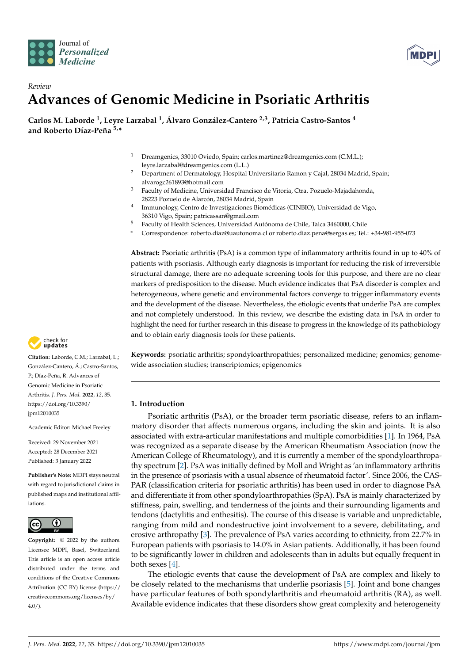



# *Review* **Advances of Genomic Medicine in Psoriatic Arthritis**

**Carlos M. Laborde <sup>1</sup> , Leyre Larzabal <sup>1</sup> , Álvaro González-Cantero 2,3, Patricia Castro-Santos <sup>4</sup> and Roberto Díaz-Peña 5,\***

- Dreamgenics, 33010 Oviedo, Spain; carlos.martinez@dreamgenics.com (C.M.L.); leyre.larzabal@dreamgenics.com (L.L.)
- <sup>2</sup> Department of Dermatology, Hospital Universitario Ramon y Cajal, 28034 Madrid, Spain; alvarogc261893@hotmail.com
- <sup>3</sup> Faculty of Medicine, Universidad Francisco de Vitoria, Ctra. Pozuelo-Majadahonda, 28223 Pozuelo de Alarcón, 28034 Madrid, Spain
- 4 Immunology, Centro de Investigaciones Biomédicas (CINBIO), Universidad de Vigo, 36310 Vigo, Spain; patricassan@gmail.com
- <sup>5</sup> Faculty of Health Sciences, Universidad Autónoma de Chile, Talca 3460000, Chile
- **\*** Correspondence: roberto.diaz@uautonoma.cl or roberto.diaz.pena@sergas.es; Tel.: +34-981-955-073

**Abstract:** Psoriatic arthritis (PsA) is a common type of inflammatory arthritis found in up to 40% of patients with psoriasis. Although early diagnosis is important for reducing the risk of irreversible structural damage, there are no adequate screening tools for this purpose, and there are no clear markers of predisposition to the disease. Much evidence indicates that PsA disorder is complex and heterogeneous, where genetic and environmental factors converge to trigger inflammatory events and the development of the disease. Nevertheless, the etiologic events that underlie PsA are complex and not completely understood. In this review, we describe the existing data in PsA in order to highlight the need for further research in this disease to progress in the knowledge of its pathobiology and to obtain early diagnosis tools for these patients.

**Keywords:** psoriatic arthritis; spondyloarthropathies; personalized medicine; genomics; genomewide association studies; transcriptomics; epigenomics

# **1. Introduction**

Psoriatic arthritis (PsA), or the broader term psoriatic disease, refers to an inflammatory disorder that affects numerous organs, including the skin and joints. It is also associated with extra-articular manifestations and multiple comorbidities [\[1\]](#page-10-0). In 1964, PsA was recognized as a separate disease by the American Rheumatism Association (now the American College of Rheumatology), and it is currently a member of the spondyloarthropathy spectrum [\[2\]](#page-10-1). PsA was initially defined by Moll and Wright as 'an inflammatory arthritis in the presence of psoriasis with a usual absence of rheumatoid factor'. Since 2006, the CAS-PAR (classification criteria for psoriatic arthritis) has been used in order to diagnose PsA and differentiate it from other spondyloarthropathies (SpA). PsA is mainly characterized by stiffness, pain, swelling, and tenderness of the joints and their surrounding ligaments and tendons (dactylitis and enthesitis). The course of this disease is variable and unpredictable, ranging from mild and nondestructive joint involvement to a severe, debilitating, and erosive arthropathy [\[3\]](#page-10-2). The prevalence of PsA varies according to ethnicity, from 22.7% in European patients with psoriasis to 14.0% in Asian patients. Additionally, it has been found to be significantly lower in children and adolescents than in adults but equally frequent in both sexes [\[4\]](#page-10-3).

The etiologic events that cause the development of PsA are complex and likely to be closely related to the mechanisms that underlie psoriasis [\[5\]](#page-10-4). Joint and bone changes have particular features of both spondylarthritis and rheumatoid arthritis (RA), as well. Available evidence indicates that these disorders show great complexity and heterogeneity



**Citation:** Laborde, C.M.; Larzabal, L.; González-Cantero, Á.; Castro-Santos, P.; Díaz-Peña, R. Advances of Genomic Medicine in Psoriatic Arthritis. *J. Pers. Med.* **2022**, *12*, 35. [https://doi.org/10.3390/](https://doi.org/10.3390/jpm12010035) [jpm12010035](https://doi.org/10.3390/jpm12010035)

Academic Editor: Michael Freeley

Received: 29 November 2021 Accepted: 28 December 2021 Published: 3 January 2022

**Publisher's Note:** MDPI stays neutral with regard to jurisdictional claims in published maps and institutional affiliations.



**Copyright:** © 2022 by the authors. Licensee MDPI, Basel, Switzerland. This article is an open access article distributed under the terms and conditions of the Creative Commons Attribution (CC BY) license [\(https://](https://creativecommons.org/licenses/by/4.0/) [creativecommons.org/licenses/by/](https://creativecommons.org/licenses/by/4.0/)  $4.0/$ ).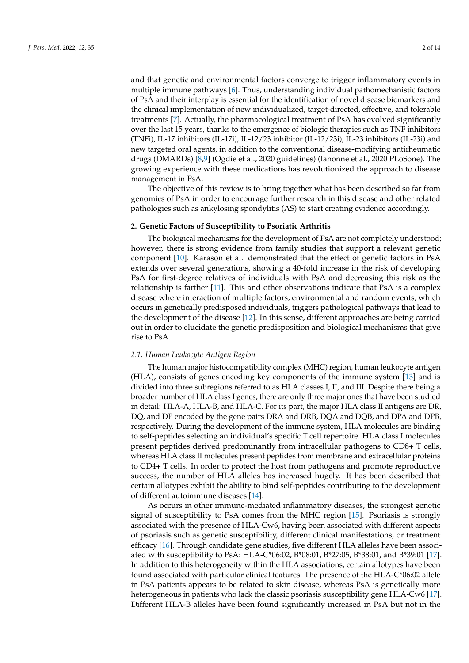and that genetic and environmental factors converge to trigger inflammatory events in multiple immune pathways [\[6\]](#page-10-5). Thus, understanding individual pathomechanistic factors of PsA and their interplay is essential for the identification of novel disease biomarkers and the clinical implementation of new individualized, target-directed, effective, and tolerable treatments [\[7\]](#page-10-6). Actually, the pharmacological treatment of PsA has evolved significantly over the last 15 years, thanks to the emergence of biologic therapies such as TNF inhibitors (TNFi), IL-17 inhibitors (IL-17i), IL-12/23 inhibitor (IL-12/23i), IL-23 inhibitors (IL-23i) and new targeted oral agents, in addition to the conventional disease-modifying antirheumatic drugs (DMARDs) [\[8,](#page-10-7)[9\]](#page-10-8) (Ogdie et al., 2020 guidelines) (Ianonne et al., 2020 PLoSone). The growing experience with these medications has revolutionized the approach to disease management in PsA.

The objective of this review is to bring together what has been described so far from genomics of PsA in order to encourage further research in this disease and other related pathologies such as ankylosing spondylitis (AS) to start creating evidence accordingly.

## **2. Genetic Factors of Susceptibility to Psoriatic Arthritis**

The biological mechanisms for the development of PsA are not completely understood; however, there is strong evidence from family studies that support a relevant genetic component [\[10\]](#page-10-9). Karason et al. demonstrated that the effect of genetic factors in PsA extends over several generations, showing a 40-fold increase in the risk of developing PsA for first-degree relatives of individuals with PsA and decreasing this risk as the relationship is farther [\[11\]](#page-11-0). This and other observations indicate that PsA is a complex disease where interaction of multiple factors, environmental and random events, which occurs in genetically predisposed individuals, triggers pathological pathways that lead to the development of the disease [\[12\]](#page-11-1). In this sense, different approaches are being carried out in order to elucidate the genetic predisposition and biological mechanisms that give rise to PsA.

### *2.1. Human Leukocyte Antigen Region*

The human major histocompatibility complex (MHC) region, human leukocyte antigen (HLA), consists of genes encoding key components of the immune system [\[13\]](#page-11-2) and is divided into three subregions referred to as HLA classes I, II, and III. Despite there being a broader number of HLA class I genes, there are only three major ones that have been studied in detail: HLA-A, HLA-B, and HLA-C. For its part, the major HLA class II antigens are DR, DQ, and DP encoded by the gene pairs DRA and DRB, DQA and DQB, and DPA and DPB, respectively. During the development of the immune system, HLA molecules are binding to self-peptides selecting an individual's specific T cell repertoire. HLA class I molecules present peptides derived predominantly from intracellular pathogens to CD8+ T cells, whereas HLA class II molecules present peptides from membrane and extracellular proteins to CD4+ T cells. In order to protect the host from pathogens and promote reproductive success, the number of HLA alleles has increased hugely. It has been described that certain allotypes exhibit the ability to bind self-peptides contributing to the development of different autoimmune diseases [\[14\]](#page-11-3).

As occurs in other immune-mediated inflammatory diseases, the strongest genetic signal of susceptibility to PsA comes from the MHC region [\[15\]](#page-11-4). Psoriasis is strongly associated with the presence of HLA-Cw6, having been associated with different aspects of psoriasis such as genetic susceptibility, different clinical manifestations, or treatment efficacy [\[16\]](#page-11-5). Through candidate gene studies, five different HLA alleles have been associated with susceptibility to PsA: HLA-C\*06:02, B\*08:01, B\*27:05, B\*38:01, and B\*39:01 [\[17\]](#page-11-6). In addition to this heterogeneity within the HLA associations, certain allotypes have been found associated with particular clinical features. The presence of the HLA-C\*06:02 allele in PsA patients appears to be related to skin disease, whereas PsA is genetically more heterogeneous in patients who lack the classic psoriasis susceptibility gene HLA-Cw6 [\[17\]](#page-11-6). Different HLA-B alleles have been found significantly increased in PsA but not in the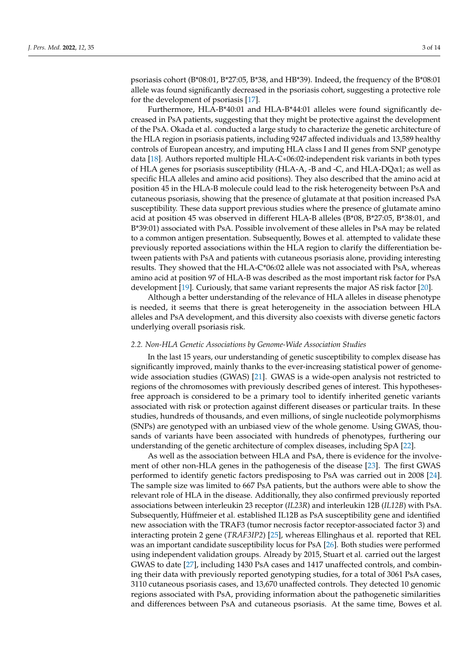psoriasis cohort (B\*08:01, B\*27:05, B\*38, and HB\*39). Indeed, the frequency of the B\*08:01 allele was found significantly decreased in the psoriasis cohort, suggesting a protective role for the development of psoriasis [\[17\]](#page-11-6).

Furthermore, HLA-B\*40:01 and HLA-B\*44:01 alleles were found significantly decreased in PsA patients, suggesting that they might be protective against the development of the PsA. Okada et al. conducted a large study to characterize the genetic architecture of the HLA region in psoriasis patients, including 9247 affected individuals and 13,589 healthy controls of European ancestry, and imputing HLA class I and II genes from SNP genotype data [\[18\]](#page-11-7). Authors reported multiple HLA-C∗06:02-independent risk variants in both types of HLA genes for psoriasis susceptibility (HLA-A, -B and -C, and HLA-DQ $\alpha$ 1; as well as specific HLA alleles and amino acid positions). They also described that the amino acid at position 45 in the HLA-B molecule could lead to the risk heterogeneity between PsA and cutaneous psoriasis, showing that the presence of glutamate at that position increased PsA susceptibility. These data support previous studies where the presence of glutamate amino acid at position 45 was observed in different HLA-B alleles (B\*08, B\*27:05, B\*38:01, and B\*39:01) associated with PsA. Possible involvement of these alleles in PsA may be related to a common antigen presentation. Subsequently, Bowes et al. attempted to validate these previously reported associations within the HLA region to clarify the differentiation between patients with PsA and patients with cutaneous psoriasis alone, providing interesting results. They showed that the HLA-C\*06:02 allele was not associated with PsA, whereas amino acid at position 97 of HLA-B was described as the most important risk factor for PsA development [\[19\]](#page-11-8). Curiously, that same variant represents the major AS risk factor [\[20\]](#page-11-9).

Although a better understanding of the relevance of HLA alleles in disease phenotype is needed, it seems that there is great heterogeneity in the association between HLA alleles and PsA development, and this diversity also coexists with diverse genetic factors underlying overall psoriasis risk.

#### *2.2. Non-HLA Genetic Associations by Genome-Wide Association Studies*

In the last 15 years, our understanding of genetic susceptibility to complex disease has significantly improved, mainly thanks to the ever-increasing statistical power of genomewide association studies (GWAS) [\[21\]](#page-11-10). GWAS is a wide-open analysis not restricted to regions of the chromosomes with previously described genes of interest. This hypothesesfree approach is considered to be a primary tool to identify inherited genetic variants associated with risk or protection against different diseases or particular traits. In these studies, hundreds of thousands, and even millions, of single nucleotide polymorphisms (SNPs) are genotyped with an unbiased view of the whole genome. Using GWAS, thousands of variants have been associated with hundreds of phenotypes, furthering our understanding of the genetic architecture of complex diseases, including SpA [\[22\]](#page-11-11).

As well as the association between HLA and PsA, there is evidence for the involvement of other non-HLA genes in the pathogenesis of the disease [\[23\]](#page-11-12). The first GWAS performed to identify genetic factors predisposing to PsA was carried out in 2008 [\[24\]](#page-11-13). The sample size was limited to 667 PsA patients, but the authors were able to show the relevant role of HLA in the disease. Additionally, they also confirmed previously reported associations between interleukin 23 receptor (*IL23R*) and interleukin 12B (*IL12B*) with PsA. Subsequently, Hüffmeier et al. established IL12B as PsA susceptibility gene and identified new association with the TRAF3 (tumor necrosis factor receptor-associated factor 3) and interacting protein 2 gene (*TRAF3IP2*) [\[25\]](#page-11-14), whereas Ellinghaus et al. reported that REL was an important candidate susceptibility locus for PsA [\[26\]](#page-11-15). Both studies were performed using independent validation groups. Already by 2015, Stuart et al. carried out the largest GWAS to date [\[27\]](#page-11-16), including 1430 PsA cases and 1417 unaffected controls, and combining their data with previously reported genotyping studies, for a total of 3061 PsA cases, 3110 cutaneous psoriasis cases, and 13,670 unaffected controls. They detected 10 genomic regions associated with PsA, providing information about the pathogenetic similarities and differences between PsA and cutaneous psoriasis. At the same time, Bowes et al.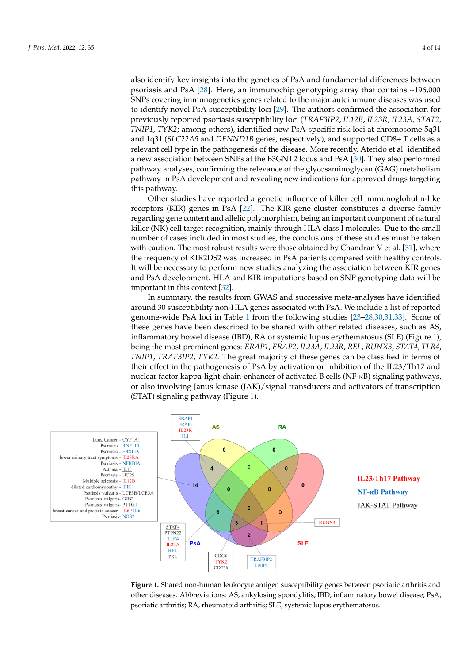also identify key insights into the genetics of PsA and fundamental differences between psoriasis and PsA [\[28\]](#page-11-17). Here, an immunochip genotyping array that contains ~196,000 SNPs covering immunogenetics genes related to the major autoimmune diseases was used to identify novel PsA susceptibility loci [\[29\]](#page-11-18). The authors confirmed the association for previously reported psoriasis susceptibility loci (*TRAF3IP2*, *IL12B*, *IL23R*, *IL23A*, *STAT2*, *TNIP1, TYK2;* among others), identified new PsA-specific risk loci at chromosome 5q31 and 1q31 (*SLC22A5* and *DENND1B* genes, respectively), and supported CD8+ T cells as a relevant cell type in the pathogenesis of the disease. More recently, Aterido et al. identified a new association between SNPs at the B3GNT2 locus and PsA [\[30\]](#page-11-19). They also performed pathway analyses, confirming the relevance of the glycosaminoglycan (GAG) metabolism pathway in PsA development and revealing new indications for approved drugs targeting<br>*Ikis mathema* this pathway.

*Charmay*.<br>Other studies have reported a genetic influence of killer cell immunoglobulin-like receptors (KIR) genes in PsA [\[22\]](#page-11-11). The KIR gene cluster constitutes a diverse family regarding gene content and allelic polymorphism, being an important component of natural killer (NK) cell target recognition, mainly through HLA class I molecules. Due to the small number of cases included in most studies, the conclusions of these studies must be taken with caution. The most robust results were those obtained by Chandran V et al. [31], where the frequency of KIR2DS2 was increased in PsA patients compared with healthy controls. It will be necessary to perform new studies analyzing the association between KIR genes and PsA development. HLA and KIR imputations based on SNP genotyping data will be important in this context [\[32\]](#page-11-21).

In summary, the results from GWAS and successive meta-analyses have identified around 30 susceptibility non-HLA genes associated with PsA. We include a list of reported<br>*NFKBIA CONSERVERSIA CONSERVERSIA CONSERVERSIA CONSERVERSIA CONSERVERSIA* genome-wide PsA loci in Table [1](#page-4-0) from the following studies [\[23](#page-11-12)[–28](#page-11-17)[,30](#page-11-19)[,31](#page-11-20)[,33\]](#page-11-22). Some of these genes have been described to be shared with other related diseases, such as AS, inflammatory bowel disease (IBD), RA or systemic lupus erythematosus (SLE) (Figure [1\)](#page-3-0), being the most prominent genes: *ERAP1*, *ERAP2*, *IL23A*, *IL23R*, *REL*, *RUNX3*, *STAT4*, *TLR4*, *TNIP1*, *TRAF3IP2*, *TYK2*. The great majority of these genes can be classified in terms of their effect in the pathogenesis of PsA by activation or inhibition of the IL23/Th17 and nuclear factor kappa-light-chain-enhancer of activated B cells (NF-κB) signaling pathways, or also involving Janus kinase (JAK)/signal transducers and activators of transcription (STAT) signaling pathway (Figure [1\)](#page-3-0).

<span id="page-3-0"></span>

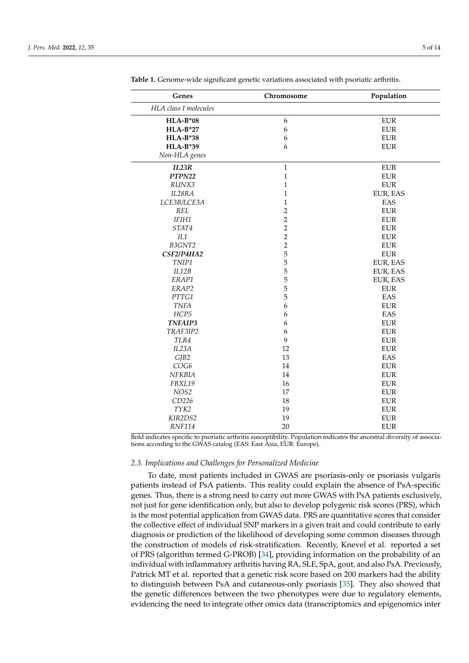| Genes                 | Chromosome     | Population  |
|-----------------------|----------------|-------------|
| HLA class I molecules |                |             |
| $HLA-B*08$            | 6              | ${\rm EUR}$ |
| $HLA-B*27$            | 6              | <b>EUR</b>  |
| <b>HLA-B*38</b>       | 6              | ${\rm EUR}$ |
| <b>HLA-B*39</b>       | 6              | <b>EUR</b>  |
| Non-HLA genes         |                |             |
| IL23R                 | $\mathbf{1}$   | <b>EUR</b>  |
| PTPN22                | $\mathbf{1}$   | <b>EUR</b>  |
| RUNX3                 | $\mathbf{1}$   | ${\rm EUR}$ |
| IL28RA                | $\mathbf{1}$   | EUR, EAS    |
| LCE3B/LCE3A           | $\mathbf{1}$   | EAS         |
| <b>REL</b>            | $\overline{2}$ | <b>EUR</b>  |
| IFIH1                 | $\overline{2}$ | <b>EUR</b>  |
| STAT4                 | $\overline{2}$ | ${\rm EUR}$ |
| IL1                   | $\overline{c}$ | ${\rm EUR}$ |
| B3GNT2                | $\overline{2}$ | <b>EUR</b>  |
| CSF2/P4HA2            | 5              | <b>EUR</b>  |
| TNIP1                 | 5              | EUR, EAS    |
| IL12B                 | 5              | EUR, EAS    |
| ERAP1                 | 5              | EUR, EAS    |
| ERAP2                 | 5              | <b>EUR</b>  |
| PTTG1                 | 5              | EAS         |
| <b>TNFA</b>           | 6              | <b>EUR</b>  |
| HCP5                  | 6              | EAS         |
| <b>TNFAIP3</b>        | 6              | ${\rm EUR}$ |
| TRAF3IP2              | 6              | <b>EUR</b>  |
| TLR4                  | 9              | <b>EUR</b>  |
| IL23A                 | 12             | <b>EUR</b>  |
| GJB2                  | 13             | EAS         |
| COG6                  | 14             | ${\rm EUR}$ |
| NFKBIA                | 14             | ${\rm EUR}$ |
| FBXL19                | 16             | ${\rm EUR}$ |
| NOS2                  | 17             | <b>EUR</b>  |
| CD226                 | 18             | <b>EUR</b>  |
| TYK2                  | 19             | <b>EUR</b>  |
| KIR2DS2               | 19             | <b>EUR</b>  |
| <b>RNF114</b>         | 20             | <b>EUR</b>  |

<span id="page-4-0"></span>**Table 1.** Genome-wide significant genetic variations associated with psoriatic arthritis.

Bold indicates specific to psoriatic arthritis susceptibility. Population indicates the ancestral diversity of associations according to the GWAS catalog (EAS: East Asia, EUR: Europe).

#### *2.3. Implications and Challenges for Personalized Medicine*

To date, most patients included in GWAS are psoriasis-only or psoriasis vulgaris patients instead of PsA patients. This reality could explain the absence of PsA-specific genes. Thus, there is a strong need to carry out more GWAS with PsA patients exclusively, not just for gene identification only, but also to develop polygenic risk scores (PRS), which is the most potential application from GWAS data. PRS are quantitative scores that consider the collective effect of individual SNP markers in a given trait and could contribute to early diagnosis or prediction of the likelihood of developing some common diseases through the construction of models of risk-stratification. Recently, Knevel et al. reported a set of PRS (algorithm termed G-PROB) [\[34\]](#page-11-23), providing information on the probability of an individual with inflammatory arthritis having RA, SLE, SpA, gout, and also PsA. Previously, Patrick MT et al. reported that a genetic risk score based on 200 markers had the ability to distinguish between PsA and cutaneous-only psoriasis [\[35\]](#page-11-24). They also showed that the genetic differences between the two phenotypes were due to regulatory elements, evidencing the need to integrate other omics data (transcriptomics and epigenomics inter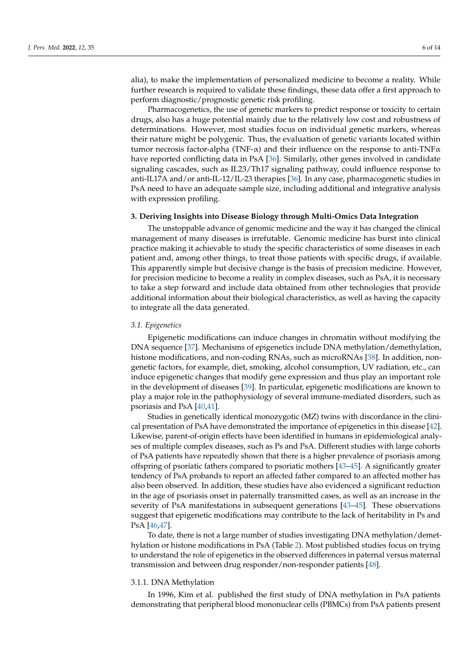alia), to make the implementation of personalized medicine to become a reality. While further research is required to validate these findings, these data offer a first approach to perform diagnostic/prognostic genetic risk profiling.

Pharmacogenetics, the use of genetic markers to predict response or toxicity to certain drugs, also has a huge potential mainly due to the relatively low cost and robustness of determinations. However, most studies focus on individual genetic markers, whereas their nature might be polygenic. Thus, the evaluation of genetic variants located within tumor necrosis factor-alpha (TNF- $\alpha$ ) and their influence on the response to anti-TNF $\alpha$ have reported conflicting data in PsA [\[36\]](#page-12-0). Similarly, other genes involved in candidate signaling cascades, such as IL23/Th17 signaling pathway, could influence response to anti-IL17A and/or anti-IL-12/IL-23 therapies [\[36\]](#page-12-0). In any case, pharmacogenetic studies in PsA need to have an adequate sample size, including additional and integrative analysis with expression profiling.

#### **3. Deriving Insights into Disease Biology through Multi-Omics Data Integration**

The unstoppable advance of genomic medicine and the way it has changed the clinical management of many diseases is irrefutable. Genomic medicine has burst into clinical practice making it achievable to study the specific characteristics of some diseases in each patient and, among other things, to treat those patients with specific drugs, if available. This apparently simple but decisive change is the basis of precision medicine. However, for precision medicine to become a reality in complex diseases, such as PsA, it is necessary to take a step forward and include data obtained from other technologies that provide additional information about their biological characteristics, as well as having the capacity to integrate all the data generated.

## *3.1. Epigenetics*

Epigenetic modifications can induce changes in chromatin without modifying the DNA sequence [\[37\]](#page-12-1). Mechanisms of epigenetics include DNA methylation/demethylation, histone modifications, and non-coding RNAs, such as microRNAs [\[38\]](#page-12-2). In addition, nongenetic factors, for example, diet, smoking, alcohol consumption, UV radiation, etc., can induce epigenetic changes that modify gene expression and thus play an important role in the development of diseases [\[39\]](#page-12-3). In particular, epigenetic modifications are known to play a major role in the pathophysiology of several immune-mediated disorders, such as psoriasis and PsA [\[40,](#page-12-4)[41\]](#page-12-5).

Studies in genetically identical monozygotic (MZ) twins with discordance in the clinical presentation of PsA have demonstrated the importance of epigenetics in this disease [\[42\]](#page-12-6). Likewise, parent-of-origin effects have been identified in humans in epidemiological analyses of multiple complex diseases, such as Ps and PsA. Different studies with large cohorts of PsA patients have repeatedly shown that there is a higher prevalence of psoriasis among offspring of psoriatic fathers compared to psoriatic mothers [\[43–](#page-12-7)[45\]](#page-12-8). A significantly greater tendency of PsA probands to report an affected father compared to an affected mother has also been observed. In addition, these studies have also evidenced a significant reduction in the age of psoriasis onset in paternally transmitted cases, as well as an increase in the severity of PsA manifestations in subsequent generations [\[43](#page-12-7)[–45\]](#page-12-8). These observations suggest that epigenetic modifications may contribute to the lack of heritability in Ps and PsA [\[46,](#page-12-9)[47\]](#page-12-10).

To date, there is not a large number of studies investigating DNA methylation/demethylation or histone modifications in PsA (Table [2\)](#page-6-0). Most published studies focus on trying to understand the role of epigenetics in the observed differences in paternal versus maternal transmission and between drug responder/non-responder patients [\[48\]](#page-12-11).

# 3.1.1. DNA Methylation

In 1996, Kim et al. published the first study of DNA methylation in PsA patients demonstrating that peripheral blood mononuclear cells (PBMCs) from PsA patients present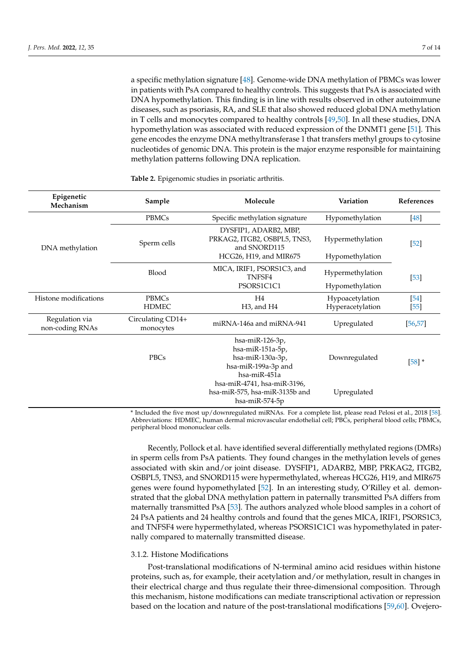a specific methylation signature [\[48\]](#page-12-11). Genome-wide DNA methylation of PBMCs was lower in patients with PsA compared to healthy controls. This suggests that PsA is associated with DNA hypomethylation. This finding is in line with results observed in other autoimmune diseases, such as psoriasis, RA, and SLE that also showed reduced global DNA methylation in T cells and monocytes compared to healthy controls [\[49](#page-12-12)[,50\]](#page-12-13). In all these studies, DNA hypomethylation was associated with reduced expression of the DNMT1 gene [\[51\]](#page-12-14). This gene encodes the enzyme DNA methyltransferase 1 that transfers methyl groups to cytosine nucleotides of genomic DNA. This protein is the major enzyme responsible for maintaining methylation patterns following DNA replication.

| Epigenetic<br>Mechanism           | Sample                         | Molecule                                                                                                                                                                          | Variation                           | References     |
|-----------------------------------|--------------------------------|-----------------------------------------------------------------------------------------------------------------------------------------------------------------------------------|-------------------------------------|----------------|
| DNA methylation                   | PBMCs                          | Specific methylation signature                                                                                                                                                    | Hypomethylation                     | $[48]$         |
|                                   | Sperm cells                    | DYSFIP1, ADARB2, MBP,<br>PRKAG2, ITGB2, OSBPL5, TNS3,<br>and SNORD115<br>HCG26, H19, and MIR675                                                                                   | Hypermethylation<br>Hypomethylation | $[52]$         |
|                                   | Blood                          | MICA, IRIF1, PSORS1C3, and<br>TNFSF4<br>PSORS1C1C1                                                                                                                                | Hypermethylation<br>Hypomethylation | $[53]$         |
| Histone modifications             | <b>PBMCs</b><br><b>HDMEC</b>   | H <sub>4</sub><br>H <sub>3</sub> , and H <sub>4</sub>                                                                                                                             | Hypoacetylation<br>Hyperacetylation | [54]<br>$[55]$ |
| Regulation via<br>non-coding RNAs | Circulating CD14+<br>monocytes | miRNA-146a and miRNA-941                                                                                                                                                          | Upregulated                         | [56, 57]       |
|                                   | PBCs                           | hsa-miR-126-3p,<br>hsa-miR-151a-5p,<br>hsa-miR-130a-3p,<br>hsa-miR-199a-3p and<br>hsa-miR-451a<br>hsa-miR-4741, hsa-miR-3196,<br>hsa-miR-575, hsa-miR-3135b and<br>hsa-miR-574-5p | Downregulated<br>Upregulated        | $[58]$ *       |

<span id="page-6-0"></span>**Table 2.** Epigenomic studies in psoriatic arthritis.

\* Included the five most up/downregulated miRNAs. For a complete list, please read Pelosi et al., 2018 [\[58\]](#page-12-21). Abbreviations: HDMEC, human dermal microvascular endothelial cell; PBCs, peripheral blood cells; PBMCs, peripheral blood mononuclear cells.

Recently, Pollock et al. have identified several differentially methylated regions (DMRs) in sperm cells from PsA patients. They found changes in the methylation levels of genes associated with skin and/or joint disease. DYSFIP1, ADARB2, MBP, PRKAG2, ITGB2, OSBPL5, TNS3, and SNORD115 were hypermethylated, whereas HCG26, H19, and MIR675 genes were found hypomethylated [\[52\]](#page-12-15). In an interesting study, O'Rilley et al. demonstrated that the global DNA methylation pattern in paternally transmitted PsA differs from maternally transmitted PsA [\[53\]](#page-12-16). The authors analyzed whole blood samples in a cohort of 24 PsA patients and 24 healthy controls and found that the genes MICA, IRIF1, PSORS1C3, and TNFSF4 were hypermethylated, whereas PSORS1C1C1 was hypomethylated in paternally compared to maternally transmitted disease.

# 3.1.2. Histone Modifications

Post-translational modifications of N-terminal amino acid residues within histone proteins, such as, for example, their acetylation and/or methylation, result in changes in their electrical charge and thus regulate their three-dimensional composition. Through this mechanism, histone modifications can mediate transcriptional activation or repression based on the location and nature of the post-translational modifications [\[59](#page-12-22)[,60\]](#page-12-23). Ovejero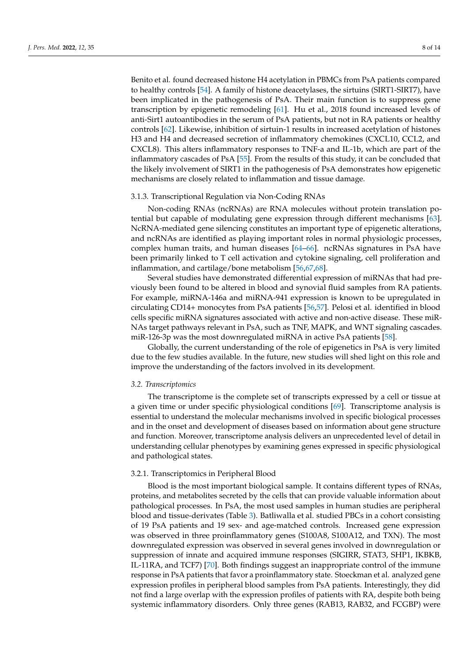Benito et al. found decreased histone H4 acetylation in PBMCs from PsA patients compared to healthy controls [\[54\]](#page-12-17). A family of histone deacetylases, the sirtuins (SIRT1-SIRT7), have been implicated in the pathogenesis of PsA. Their main function is to suppress gene transcription by epigenetic remodeling [\[61\]](#page-12-24). Hu et al., 2018 found increased levels of anti-Sirt1 autoantibodies in the serum of PsA patients, but not in RA patients or healthy controls [\[62\]](#page-12-25). Likewise, inhibition of sirtuin-1 results in increased acetylation of histones H3 and H4 and decreased secretion of inflammatory chemokines (CXCL10, CCL2, and CXCL8). This alters inflammatory responses to TNF-a and IL-1b, which are part of the inflammatory cascades of PsA [\[55\]](#page-12-18). From the results of this study, it can be concluded that the likely involvement of SIRT1 in the pathogenesis of PsA demonstrates how epigenetic mechanisms are closely related to inflammation and tissue damage.

### 3.1.3. Transcriptional Regulation via Non-Coding RNAs

Non-coding RNAs (ncRNAs) are RNA molecules without protein translation potential but capable of modulating gene expression through different mechanisms [\[63\]](#page-12-26). NcRNA-mediated gene silencing constitutes an important type of epigenetic alterations, and ncRNAs are identified as playing important roles in normal physiologic processes, complex human traits, and human diseases [\[64–](#page-13-0)[66\]](#page-13-1). ncRNAs signatures in PsA have been primarily linked to T cell activation and cytokine signaling, cell proliferation and inflammation, and cartilage/bone metabolism [\[56](#page-12-19)[,67](#page-13-2)[,68\]](#page-13-3).

Several studies have demonstrated differential expression of miRNAs that had previously been found to be altered in blood and synovial fluid samples from RA patients. For example, miRNA-146a and miRNA-941 expression is known to be upregulated in circulating CD14+ monocytes from PsA patients [\[56](#page-12-19)[,57\]](#page-12-20). Pelosi et al. identified in blood cells specific miRNA signatures associated with active and non-active disease. These miR-NAs target pathways relevant in PsA, such as TNF, MAPK, and WNT signaling cascades. miR-126-3p was the most downregulated miRNA in active PsA patients [\[58\]](#page-12-21).

Globally, the current understanding of the role of epigenetics in PsA is very limited due to the few studies available. In the future, new studies will shed light on this role and improve the understanding of the factors involved in its development.

### *3.2. Transcriptomics*

The transcriptome is the complete set of transcripts expressed by a cell or tissue at a given time or under specific physiological conditions [\[69\]](#page-13-4). Transcriptome analysis is essential to understand the molecular mechanisms involved in specific biological processes and in the onset and development of diseases based on information about gene structure and function. Moreover, transcriptome analysis delivers an unprecedented level of detail in understanding cellular phenotypes by examining genes expressed in specific physiological and pathological states.

# 3.2.1. Transcriptomics in Peripheral Blood

Blood is the most important biological sample. It contains different types of RNAs, proteins, and metabolites secreted by the cells that can provide valuable information about pathological processes. In PsA, the most used samples in human studies are peripheral blood and tissue-derivates (Table [3\)](#page-8-0). Batliwalla et al. studied PBCs in a cohort consisting of 19 PsA patients and 19 sex- and age-matched controls. Increased gene expression was observed in three proinflammatory genes (S100A8, S100A12, and TXN). The most downregulated expression was observed in several genes involved in downregulation or suppression of innate and acquired immune responses (SIGIRR, STAT3, SHP1, IKBKB, IL-11RA, and TCF7) [\[70\]](#page-13-5). Both findings suggest an inappropriate control of the immune response in PsA patients that favor a proinflammatory state. Stoeckman et al. analyzed gene expression profiles in peripheral blood samples from PsA patients. Interestingly, they did not find a large overlap with the expression profiles of patients with RA, despite both being systemic inflammatory disorders. Only three genes (RAB13, RAB32, and FCGBP) were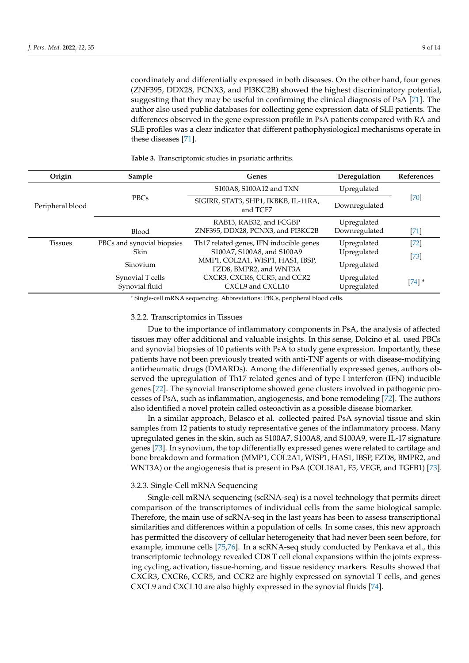coordinately and differentially expressed in both diseases. On the other hand, four genes (ZNF395, DDX28, PCNX3, and PI3KC2B) showed the highest discriminatory potential, suggesting that they may be useful in confirming the clinical diagnosis of PsA [\[71\]](#page-13-6). The author also used public databases for collecting gene expression data of SLE patients. The differences observed in the gene expression profile in PsA patients compared with RA and SLE profiles was a clear indicator that different pathophysiological mechanisms operate in these diseases [\[71\]](#page-13-6).

| Origin           | Sample                             | Genes                                                      | Deregulation               | References |
|------------------|------------------------------------|------------------------------------------------------------|----------------------------|------------|
| Peripheral blood | <b>PBCs</b>                        | S100A8, S100A12 and TXN                                    | Upregulated                |            |
|                  |                                    | SIGIRR, STAT3, SHP1, IKBKB, IL-11RA,<br>and TCF7           | Downregulated              | $[70]$     |
|                  |                                    | RAB13, RAB32, and FCGBP                                    | Upregulated                |            |
|                  | Blood                              | ZNF395, DDX28, PCNX3, and PI3KC2B                          | Downregulated              | $[71]$     |
| Tissues          | PBCs and synovial biopsies         | Th <sub>17</sub> related genes, IFN inducible genes        | Upregulated                | $[72]$     |
|                  | Skin                               | S100A7, S100A8, and S100A9                                 | Upregulated                | $[73]$     |
|                  | Sinovium                           | MMP1, COL2A1, WISP1, HAS1, IBSP,<br>FZD8, BMPR2, and WNT3A | Upregulated                |            |
|                  | Synovial T cells<br>Synovial fluid | CXCR3, CXCR6, CCR5, and CCR2<br>CXCL9 and CXCL10           | Upregulated<br>Upregulated | $[74]$ *   |

<span id="page-8-0"></span>**Table 3.** Transcriptomic studies in psoriatic arthritis.

\* Single-cell mRNA sequencing. Abbreviations: PBCs, peripheral blood cells.

## 3.2.2. Transcriptomics in Tissues

Due to the importance of inflammatory components in PsA, the analysis of affected tissues may offer additional and valuable insights. In this sense, Dolcino et al. used PBCs and synovial biopsies of 10 patients with PsA to study gene expression. Importantly, these patients have not been previously treated with anti-TNF agents or with disease-modifying antirheumatic drugs (DMARDs). Among the differentially expressed genes, authors observed the upregulation of Th17 related genes and of type I interferon (IFN) inducible genes [\[72\]](#page-13-7). The synovial transcriptome showed gene clusters involved in pathogenic processes of PsA, such as inflammation, angiogenesis, and bone remodeling [\[72\]](#page-13-7). The authors also identified a novel protein called osteoactivin as a possible disease biomarker.

In a similar approach, Belasco et al. collected paired PsA synovial tissue and skin samples from 12 patients to study representative genes of the inflammatory process. Many upregulated genes in the skin, such as S100A7, S100A8, and S100A9, were IL-17 signature genes [\[73\]](#page-13-8). In synovium, the top differentially expressed genes were related to cartilage and bone breakdown and formation (MMP1, COL2A1, WISP1, HAS1, IBSP, FZD8, BMPR2, and WNT3A) or the angiogenesis that is present in PsA (COL18A1, F5, VEGF, and TGFB1) [\[73\]](#page-13-8).

# 3.2.3. Single-Cell mRNA Sequencing

Single-cell mRNA sequencing (scRNA-seq) is a novel technology that permits direct comparison of the transcriptomes of individual cells from the same biological sample. Therefore, the main use of scRNA-seq in the last years has been to assess transcriptional similarities and differences within a population of cells. In some cases, this new approach has permitted the discovery of cellular heterogeneity that had never been seen before, for example, immune cells [\[75](#page-13-10)[,76\]](#page-13-11). In a scRNA-seq study conducted by Penkava et al., this transcriptomic technology revealed CD8 T cell clonal expansions within the joints expressing cycling, activation, tissue-homing, and tissue residency markers. Results showed that CXCR3, CXCR6, CCR5, and CCR2 are highly expressed on synovial T cells, and genes CXCL9 and CXCL10 are also highly expressed in the synovial fluids [\[74\]](#page-13-9).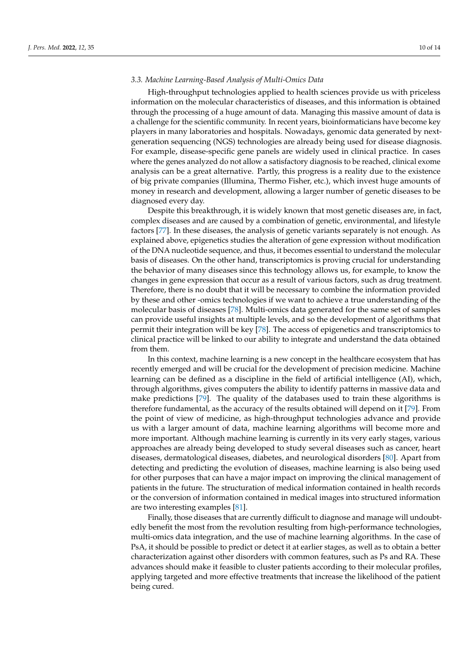## *3.3. Machine Learning-Based Analysis of Multi-Omics Data*

High-throughput technologies applied to health sciences provide us with priceless information on the molecular characteristics of diseases, and this information is obtained through the processing of a huge amount of data. Managing this massive amount of data is a challenge for the scientific community. In recent years, bioinformaticians have become key players in many laboratories and hospitals. Nowadays, genomic data generated by nextgeneration sequencing (NGS) technologies are already being used for disease diagnosis. For example, disease-specific gene panels are widely used in clinical practice. In cases where the genes analyzed do not allow a satisfactory diagnosis to be reached, clinical exome analysis can be a great alternative. Partly, this progress is a reality due to the existence of big private companies (Illumina, Thermo Fisher, etc.), which invest huge amounts of money in research and development, allowing a larger number of genetic diseases to be diagnosed every day.

Despite this breakthrough, it is widely known that most genetic diseases are, in fact, complex diseases and are caused by a combination of genetic, environmental, and lifestyle factors [\[77\]](#page-13-12). In these diseases, the analysis of genetic variants separately is not enough. As explained above, epigenetics studies the alteration of gene expression without modification of the DNA nucleotide sequence, and thus, it becomes essential to understand the molecular basis of diseases. On the other hand, transcriptomics is proving crucial for understanding the behavior of many diseases since this technology allows us, for example, to know the changes in gene expression that occur as a result of various factors, such as drug treatment. Therefore, there is no doubt that it will be necessary to combine the information provided by these and other -omics technologies if we want to achieve a true understanding of the molecular basis of diseases [\[78\]](#page-13-13). Multi-omics data generated for the same set of samples can provide useful insights at multiple levels, and so the development of algorithms that permit their integration will be key [\[78\]](#page-13-13). The access of epigenetics and transcriptomics to clinical practice will be linked to our ability to integrate and understand the data obtained from them.

In this context, machine learning is a new concept in the healthcare ecosystem that has recently emerged and will be crucial for the development of precision medicine. Machine learning can be defined as a discipline in the field of artificial intelligence (AI), which, through algorithms, gives computers the ability to identify patterns in massive data and make predictions [\[79\]](#page-13-14). The quality of the databases used to train these algorithms is therefore fundamental, as the accuracy of the results obtained will depend on it [\[79\]](#page-13-14). From the point of view of medicine, as high-throughput technologies advance and provide us with a larger amount of data, machine learning algorithms will become more and more important. Although machine learning is currently in its very early stages, various approaches are already being developed to study several diseases such as cancer, heart diseases, dermatological diseases, diabetes, and neurological disorders [\[80\]](#page-13-15). Apart from detecting and predicting the evolution of diseases, machine learning is also being used for other purposes that can have a major impact on improving the clinical management of patients in the future. The structuration of medical information contained in health records or the conversion of information contained in medical images into structured information are two interesting examples [\[81\]](#page-13-16).

Finally, those diseases that are currently difficult to diagnose and manage will undoubtedly benefit the most from the revolution resulting from high-performance technologies, multi-omics data integration, and the use of machine learning algorithms. In the case of PsA, it should be possible to predict or detect it at earlier stages, as well as to obtain a better characterization against other disorders with common features, such as Ps and RA. These advances should make it feasible to cluster patients according to their molecular profiles, applying targeted and more effective treatments that increase the likelihood of the patient being cured.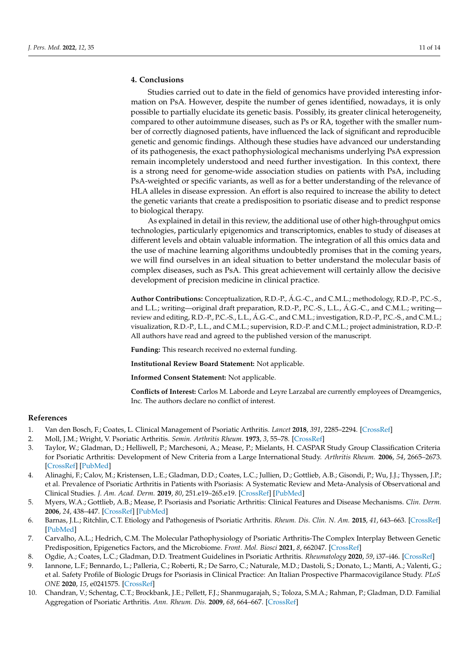# **4. Conclusions**

Studies carried out to date in the field of genomics have provided interesting information on PsA. However, despite the number of genes identified, nowadays, it is only possible to partially elucidate its genetic basis. Possibly, its greater clinical heterogeneity, compared to other autoimmune diseases, such as Ps or RA, together with the smaller number of correctly diagnosed patients, have influenced the lack of significant and reproducible genetic and genomic findings. Although these studies have advanced our understanding of its pathogenesis, the exact pathophysiological mechanisms underlying PsA expression remain incompletely understood and need further investigation. In this context, there is a strong need for genome-wide association studies on patients with PsA, including PsA-weighted or specific variants, as well as for a better understanding of the relevance of HLA alleles in disease expression. An effort is also required to increase the ability to detect the genetic variants that create a predisposition to psoriatic disease and to predict response to biological therapy.

As explained in detail in this review, the additional use of other high-throughput omics technologies, particularly epigenomics and transcriptomics, enables to study of diseases at different levels and obtain valuable information. The integration of all this omics data and the use of machine learning algorithms undoubtedly promises that in the coming years, we will find ourselves in an ideal situation to better understand the molecular basis of complex diseases, such as PsA. This great achievement will certainly allow the decisive development of precision medicine in clinical practice.

**Author Contributions:** Conceptualization, R.D.-P., Á.G.-C., and C.M.L.; methodology, R.D.-P., P.C.-S., and L.L.; writing—original draft preparation, R.D.-P., P.C.-S., L.L., Á.G.-C., and C.M.L.; writing review and editing, R.D.-P., P.C.-S., L.L., Á.G.-C., and C.M.L.; investigation, R.D.-P., P.C.-S., and C.M.L.; visualization, R.D.-P., L.L., and C.M.L.; supervision, R.D.-P. and C.M.L.; project administration, R.D.-P. All authors have read and agreed to the published version of the manuscript.

**Funding:** This research received no external funding.

**Institutional Review Board Statement:** Not applicable.

**Informed Consent Statement:** Not applicable.

**Conflicts of Interest:** Carlos M. Laborde and Leyre Larzabal are currently employees of Dreamgenics, Inc. The authors declare no conflict of interest.

# **References**

- <span id="page-10-0"></span>1. Van den Bosch, F.; Coates, L. Clinical Management of Psoriatic Arthritis. *Lancet* **2018**, *391*, 2285–2294. [\[CrossRef\]](http://doi.org/10.1016/S0140-6736(18)30949-8)
- <span id="page-10-1"></span>2. Moll, J.M.; Wright, V. Psoriatic Arthritis. *Semin. Arthritis Rheum.* **1973**, *3*, 55–78. [\[CrossRef\]](http://doi.org/10.1016/0049-0172(73)90035-8)
- <span id="page-10-2"></span>3. Taylor, W.; Gladman, D.; Helliwell, P.; Marchesoni, A.; Mease, P.; Mielants, H. CASPAR Study Group Classification Criteria for Psoriatic Arthritis: Development of New Criteria from a Large International Study. *Arthritis Rheum.* **2006**, *54*, 2665–2673. [\[CrossRef\]](http://doi.org/10.1002/art.21972) [\[PubMed\]](http://www.ncbi.nlm.nih.gov/pubmed/16871531)
- <span id="page-10-3"></span>4. Alinaghi, F.; Calov, M.; Kristensen, L.E.; Gladman, D.D.; Coates, L.C.; Jullien, D.; Gottlieb, A.B.; Gisondi, P.; Wu, J.J.; Thyssen, J.P.; et al. Prevalence of Psoriatic Arthritis in Patients with Psoriasis: A Systematic Review and Meta-Analysis of Observational and Clinical Studies. *J. Am. Acad. Derm.* **2019**, *80*, 251.e19–265.e19. [\[CrossRef\]](http://doi.org/10.1016/j.jaad.2018.06.027) [\[PubMed\]](http://www.ncbi.nlm.nih.gov/pubmed/29928910)
- <span id="page-10-4"></span>5. Myers, W.A.; Gottlieb, A.B.; Mease, P. Psoriasis and Psoriatic Arthritis: Clinical Features and Disease Mechanisms. *Clin. Derm.* **2006**, *24*, 438–447. [\[CrossRef\]](http://doi.org/10.1016/j.clindermatol.2006.07.006) [\[PubMed\]](http://www.ncbi.nlm.nih.gov/pubmed/16966023)
- <span id="page-10-5"></span>6. Barnas, J.L.; Ritchlin, C.T. Etiology and Pathogenesis of Psoriatic Arthritis. *Rheum. Dis. Clin. N. Am.* **2015**, *41*, 643–663. [\[CrossRef\]](http://doi.org/10.1016/j.rdc.2015.07.006) [\[PubMed\]](http://www.ncbi.nlm.nih.gov/pubmed/26476224)
- <span id="page-10-6"></span>7. Carvalho, A.L.; Hedrich, C.M. The Molecular Pathophysiology of Psoriatic Arthritis-The Complex Interplay Between Genetic Predisposition, Epigenetics Factors, and the Microbiome. *Front. Mol. Biosci* **2021**, *8*, 662047. [\[CrossRef\]](http://doi.org/10.3389/fmolb.2021.662047)
- <span id="page-10-7"></span>8. Ogdie, A.; Coates, L.C.; Gladman, D.D. Treatment Guidelines in Psoriatic Arthritis. *Rheumatology* **2020**, *59*, i37–i46. [\[CrossRef\]](http://doi.org/10.1093/rheumatology/kez383)
- <span id="page-10-8"></span>9. Iannone, L.F.; Bennardo, L.; Palleria, C.; Roberti, R.; De Sarro, C.; Naturale, M.D.; Dastoli, S.; Donato, L.; Manti, A.; Valenti, G.; et al. Safety Profile of Biologic Drugs for Psoriasis in Clinical Practice: An Italian Prospective Pharmacovigilance Study. *PLoS ONE* **2020**, *15*, e0241575. [\[CrossRef\]](http://doi.org/10.1371/journal.pone.0241575)
- <span id="page-10-9"></span>10. Chandran, V.; Schentag, C.T.; Brockbank, J.E.; Pellett, F.J.; Shanmugarajah, S.; Toloza, S.M.A.; Rahman, P.; Gladman, D.D. Familial Aggregation of Psoriatic Arthritis. *Ann. Rheum. Dis.* **2009**, *68*, 664–667. [\[CrossRef\]](http://doi.org/10.1136/ard.2008.089367)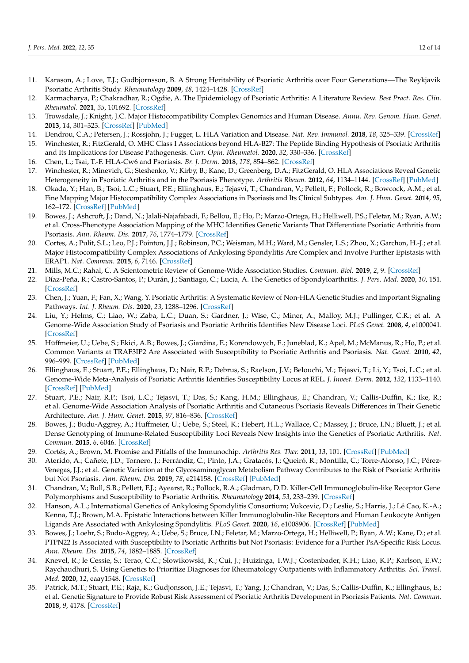- <span id="page-11-0"></span>11. Karason, A.; Love, T.J.; Gudbjornsson, B. A Strong Heritability of Psoriatic Arthritis over Four Generations—The Reykjavik Psoriatic Arthritis Study. *Rheumatology* **2009**, *48*, 1424–1428. [\[CrossRef\]](http://doi.org/10.1093/rheumatology/kep243)
- <span id="page-11-1"></span>12. Karmacharya, P.; Chakradhar, R.; Ogdie, A. The Epidemiology of Psoriatic Arthritis: A Literature Review. *Best Pract. Res. Clin. Rheumatol.* **2021**, *35*, 101692. [\[CrossRef\]](http://doi.org/10.1016/j.berh.2021.101692)
- <span id="page-11-2"></span>13. Trowsdale, J.; Knight, J.C. Major Histocompatibility Complex Genomics and Human Disease. *Annu. Rev. Genom. Hum. Genet.* **2013**, *14*, 301–323. [\[CrossRef\]](http://doi.org/10.1146/annurev-genom-091212-153455) [\[PubMed\]](http://www.ncbi.nlm.nih.gov/pubmed/23875801)
- <span id="page-11-4"></span><span id="page-11-3"></span>14. Dendrou, C.A.; Petersen, J.; Rossjohn, J.; Fugger, L. HLA Variation and Disease. *Nat. Rev. Immunol.* **2018**, *18*, 325–339. [\[CrossRef\]](http://doi.org/10.1038/nri.2017.143) 15. Winchester, R.; FitzGerald, O. MHC Class I Associations beyond HLA-B27: The Peptide Binding Hypothesis of Psoriatic Arthritis
- and Its Implications for Disease Pathogenesis. *Curr. Opin. Rheumatol.* **2020**, *32*, 330–336. [\[CrossRef\]](http://doi.org/10.1097/BOR.0000000000000720)
- <span id="page-11-5"></span>16. Chen, L.; Tsai, T.-F. HLA-Cw6 and Psoriasis. *Br. J. Derm.* **2018**, *178*, 854–862. [\[CrossRef\]](http://doi.org/10.1111/bjd.16083)
- <span id="page-11-6"></span>17. Winchester, R.; Minevich, G.; Steshenko, V.; Kirby, B.; Kane, D.; Greenberg, D.A.; FitzGerald, O. HLA Associations Reveal Genetic Heterogeneity in Psoriatic Arthritis and in the Psoriasis Phenotype. *Arthritis Rheum.* **2012**, *64*, 1134–1144. [\[CrossRef\]](http://doi.org/10.1002/art.33415) [\[PubMed\]](http://www.ncbi.nlm.nih.gov/pubmed/22006066)
- <span id="page-11-7"></span>18. Okada, Y.; Han, B.; Tsoi, L.C.; Stuart, P.E.; Ellinghaus, E.; Tejasvi, T.; Chandran, V.; Pellett, F.; Pollock, R.; Bowcock, A.M.; et al. Fine Mapping Major Histocompatibility Complex Associations in Psoriasis and Its Clinical Subtypes. *Am. J. Hum. Genet.* **2014**, *95*, 162–172. [\[CrossRef\]](http://doi.org/10.1016/j.ajhg.2014.07.002) [\[PubMed\]](http://www.ncbi.nlm.nih.gov/pubmed/25087609)
- <span id="page-11-8"></span>19. Bowes, J.; Ashcroft, J.; Dand, N.; Jalali-Najafabadi, F.; Bellou, E.; Ho, P.; Marzo-Ortega, H.; Helliwell, P.S.; Feletar, M.; Ryan, A.W.; et al. Cross-Phenotype Association Mapping of the MHC Identifies Genetic Variants That Differentiate Psoriatic Arthritis from Psoriasis. *Ann. Rheum. Dis.* **2017**, *76*, 1774–1779. [\[CrossRef\]](http://doi.org/10.1136/annrheumdis-2017-211414)
- <span id="page-11-9"></span>20. Cortes, A.; Pulit, S.L.; Leo, P.J.; Pointon, J.J.; Robinson, P.C.; Weisman, M.H.; Ward, M.; Gensler, L.S.; Zhou, X.; Garchon, H.-J.; et al. Major Histocompatibility Complex Associations of Ankylosing Spondylitis Are Complex and Involve Further Epistasis with ERAP1. *Nat. Commun.* **2015**, *6*, 7146. [\[CrossRef\]](http://doi.org/10.1038/ncomms8146)
- <span id="page-11-10"></span>21. Mills, M.C.; Rahal, C. A Scientometric Review of Genome-Wide Association Studies. *Commun. Biol.* **2019**, *2*, 9. [\[CrossRef\]](http://doi.org/10.1038/s42003-018-0261-x)
- <span id="page-11-11"></span>22. Díaz-Peña, R.; Castro-Santos, P.; Durán, J.; Santiago, C.; Lucia, A. The Genetics of Spondyloarthritis. *J. Pers. Med.* **2020**, *10*, 151. [\[CrossRef\]](http://doi.org/10.3390/jpm10040151)
- <span id="page-11-12"></span>23. Chen, J.; Yuan, F.; Fan, X.; Wang, Y. Psoriatic Arthritis: A Systematic Review of Non-HLA Genetic Studies and Important Signaling Pathways. *Int. J. Rheum. Dis.* **2020**, *23*, 1288–1296. [\[CrossRef\]](http://doi.org/10.1111/1756-185X.13879)
- <span id="page-11-13"></span>24. Liu, Y.; Helms, C.; Liao, W.; Zaba, L.C.; Duan, S.; Gardner, J.; Wise, C.; Miner, A.; Malloy, M.J.; Pullinger, C.R.; et al. A Genome-Wide Association Study of Psoriasis and Psoriatic Arthritis Identifies New Disease Loci. *PLoS Genet.* **2008**, *4*, e1000041. [\[CrossRef\]](http://doi.org/10.1371/journal.pgen.1000041)
- <span id="page-11-14"></span>25. Hüffmeier, U.; Uebe, S.; Ekici, A.B.; Bowes, J.; Giardina, E.; Korendowych, E.; Juneblad, K.; Apel, M.; McManus, R.; Ho, P.; et al. Common Variants at TRAF3IP2 Are Associated with Susceptibility to Psoriatic Arthritis and Psoriasis. *Nat. Genet.* **2010**, *42*, 996–999. [\[CrossRef\]](http://doi.org/10.1038/ng.688) [\[PubMed\]](http://www.ncbi.nlm.nih.gov/pubmed/20953186)
- <span id="page-11-15"></span>26. Ellinghaus, E.; Stuart, P.E.; Ellinghaus, D.; Nair, R.P.; Debrus, S.; Raelson, J.V.; Belouchi, M.; Tejasvi, T.; Li, Y.; Tsoi, L.C.; et al. Genome-Wide Meta-Analysis of Psoriatic Arthritis Identifies Susceptibility Locus at REL. *J. Invest. Derm.* **2012**, *132*, 1133–1140. [\[CrossRef\]](http://doi.org/10.1038/jid.2011.415) [\[PubMed\]](http://www.ncbi.nlm.nih.gov/pubmed/22170493)
- <span id="page-11-16"></span>27. Stuart, P.E.; Nair, R.P.; Tsoi, L.C.; Tejasvi, T.; Das, S.; Kang, H.M.; Ellinghaus, E.; Chandran, V.; Callis-Duffin, K.; Ike, R.; et al. Genome-Wide Association Analysis of Psoriatic Arthritis and Cutaneous Psoriasis Reveals Differences in Their Genetic Architecture. *Am. J. Hum. Genet.* **2015**, *97*, 816–836. [\[CrossRef\]](http://doi.org/10.1016/j.ajhg.2015.10.019)
- <span id="page-11-17"></span>28. Bowes, J.; Budu-Aggrey, A.; Huffmeier, U.; Uebe, S.; Steel, K.; Hebert, H.L.; Wallace, C.; Massey, J.; Bruce, I.N.; Bluett, J.; et al. Dense Genotyping of Immune-Related Susceptibility Loci Reveals New Insights into the Genetics of Psoriatic Arthritis. *Nat. Commun.* **2015**, *6*, 6046. [\[CrossRef\]](http://doi.org/10.1038/ncomms7046)
- <span id="page-11-18"></span>29. Cortés, A.; Brown, M. Promise and Pitfalls of the Immunochip. *Arthritis Res. Ther.* **2011**, *13*, 101. [\[CrossRef\]](http://doi.org/10.1186/ar3204) [\[PubMed\]](http://www.ncbi.nlm.nih.gov/pubmed/21345260)
- <span id="page-11-19"></span>30. Aterido, A.; Cañete, J.D.; Tornero, J.; Ferrándiz, C.; Pinto, J.A.; Gratacós, J.; Queiró, R.; Montilla, C.; Torre-Alonso, J.C.; Pérez-Venegas, J.J.; et al. Genetic Variation at the Glycosaminoglycan Metabolism Pathway Contributes to the Risk of Psoriatic Arthritis but Not Psoriasis. *Ann. Rheum. Dis.* **2019**, *78*, e214158. [\[CrossRef\]](http://doi.org/10.1136/annrheumdis-2018-214158) [\[PubMed\]](http://www.ncbi.nlm.nih.gov/pubmed/30552173)
- <span id="page-11-20"></span>31. Chandran, V.; Bull, S.B.; Pellett, F.J.; Ayearst, R.; Pollock, R.A.; Gladman, D.D. Killer-Cell Immunoglobulin-like Receptor Gene Polymorphisms and Susceptibility to Psoriatic Arthritis. *Rheumatology* **2014**, *53*, 233–239. [\[CrossRef\]](http://doi.org/10.1093/rheumatology/ket296)
- <span id="page-11-21"></span>32. Hanson, A.L.; International Genetics of Ankylosing Spondylitis Consortium; Vukcevic, D.; Leslie, S.; Harris, J.; Lê Cao, K.-A.; Kenna, T.J.; Brown, M.A. Epistatic Interactions between Killer Immunoglobulin-like Receptors and Human Leukocyte Antigen Ligands Are Associated with Ankylosing Spondylitis. *PLoS Genet.* **2020**, *16*, e1008906. [\[CrossRef\]](http://doi.org/10.1371/journal.pgen.1008906) [\[PubMed\]](http://www.ncbi.nlm.nih.gov/pubmed/32804949)
- <span id="page-11-22"></span>33. Bowes, J.; Loehr, S.; Budu-Aggrey, A.; Uebe, S.; Bruce, I.N.; Feletar, M.; Marzo-Ortega, H.; Helliwell, P.; Ryan, A.W.; Kane, D.; et al. PTPN22 Is Associated with Susceptibility to Psoriatic Arthritis but Not Psoriasis: Evidence for a Further PsA-Specific Risk Locus. *Ann. Rheum. Dis.* **2015**, *74*, 1882–1885. [\[CrossRef\]](http://doi.org/10.1136/annrheumdis-2014-207187)
- <span id="page-11-23"></span>34. Knevel, R.; le Cessie, S.; Terao, C.C.; Slowikowski, K.; Cui, J.; Huizinga, T.W.J.; Costenbader, K.H.; Liao, K.P.; Karlson, E.W.; Raychaudhuri, S. Using Genetics to Prioritize Diagnoses for Rheumatology Outpatients with Inflammatory Arthritis. *Sci. Transl. Med.* **2020**, *12*, eaay1548. [\[CrossRef\]](http://doi.org/10.1126/scitranslmed.aay1548)
- <span id="page-11-24"></span>35. Patrick, M.T.; Stuart, P.E.; Raja, K.; Gudjonsson, J.E.; Tejasvi, T.; Yang, J.; Chandran, V.; Das, S.; Callis-Duffin, K.; Ellinghaus, E.; et al. Genetic Signature to Provide Robust Risk Assessment of Psoriatic Arthritis Development in Psoriasis Patients. *Nat. Commun.* **2018**, *9*, 4178. [\[CrossRef\]](http://doi.org/10.1038/s41467-018-06672-6)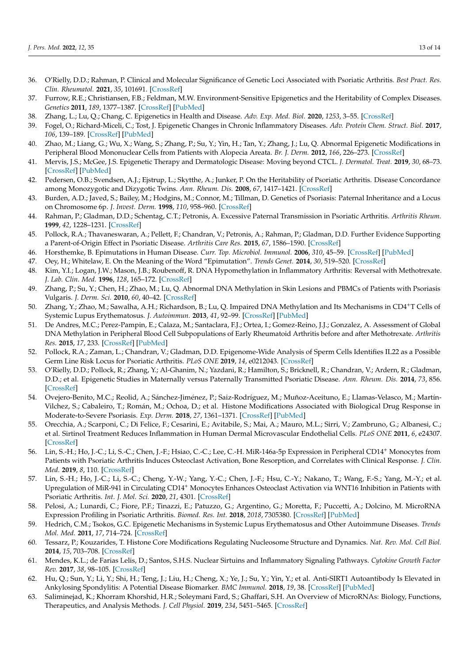- <span id="page-12-0"></span>36. O'Rielly, D.D.; Rahman, P. Clinical and Molecular Significance of Genetic Loci Associated with Psoriatic Arthritis. *Best Pract. Res. Clin. Rheumatol.* **2021**, *35*, 101691. [\[CrossRef\]](http://doi.org/10.1016/j.berh.2021.101691)
- <span id="page-12-1"></span>37. Furrow, R.E.; Christiansen, F.B.; Feldman, M.W. Environment-Sensitive Epigenetics and the Heritability of Complex Diseases. *Genetics* **2011**, *189*, 1377–1387. [\[CrossRef\]](http://doi.org/10.1534/genetics.111.131912) [\[PubMed\]](http://www.ncbi.nlm.nih.gov/pubmed/21968193)
- <span id="page-12-2"></span>38. Zhang, L.; Lu, Q.; Chang, C. Epigenetics in Health and Disease. *Adv. Exp. Med. Biol.* **2020**, *1253*, 3–55. [\[CrossRef\]](http://doi.org/10.1007/978-981-15-3449-2_1)
- <span id="page-12-3"></span>39. Fogel, O.; Richard-Miceli, C.; Tost, J. Epigenetic Changes in Chronic Inflammatory Diseases. *Adv. Protein Chem. Struct. Biol.* **2017**, *106*, 139–189. [\[CrossRef\]](http://doi.org/10.1016/bs.apcsb.2016.09.003) [\[PubMed\]](http://www.ncbi.nlm.nih.gov/pubmed/28057210)
- <span id="page-12-4"></span>40. Zhao, M.; Liang, G.; Wu, X.; Wang, S.; Zhang, P.; Su, Y.; Yin, H.; Tan, Y.; Zhang, J.; Lu, Q. Abnormal Epigenetic Modifications in Peripheral Blood Mononuclear Cells from Patients with Alopecia Areata. *Br. J. Derm.* **2012**, *166*, 226–273. [\[CrossRef\]](http://doi.org/10.1111/j.1365-2133.2011.10646.x)
- <span id="page-12-5"></span>41. Mervis, J.S.; McGee, J.S. Epigenetic Therapy and Dermatologic Disease: Moving beyond CTCL. *J. Dermatol. Treat.* **2019**, *30*, 68–73. [\[CrossRef\]](http://doi.org/10.1080/09546634.2018.1473550) [\[PubMed\]](http://www.ncbi.nlm.nih.gov/pubmed/29726727)
- <span id="page-12-6"></span>42. Pedersen, O.B.; Svendsen, A.J.; Ejstrup, L.; Skytthe, A.; Junker, P. On the Heritability of Psoriatic Arthritis. Disease Concordance among Monozygotic and Dizygotic Twins. *Ann. Rheum. Dis.* **2008**, *67*, 1417–1421. [\[CrossRef\]](http://doi.org/10.1136/ard.2007.078428)
- <span id="page-12-7"></span>43. Burden, A.D.; Javed, S.; Bailey, M.; Hodgins, M.; Connor, M.; Tillman, D. Genetics of Psoriasis: Paternal Inheritance and a Locus on Chromosome 6p. *J. Invest. Derm.* **1998**, *110*, 958–960. [\[CrossRef\]](http://doi.org/10.1046/j.1523-1747.1998.00213.x)
- 44. Rahman, P.; Gladman, D.D.; Schentag, C.T.; Petronis, A. Excessive Paternal Transmission in Psoriatic Arthritis. *Arthritis Rheum.* **1999**, *42*, 1228–1231. [\[CrossRef\]](http://doi.org/10.1002/1529-0131(199906)42:6<1228::AID-ANR20>3.0.CO;2-3)
- <span id="page-12-8"></span>45. Pollock, R.A.; Thavaneswaran, A.; Pellett, F.; Chandran, V.; Petronis, A.; Rahman, P.; Gladman, D.D. Further Evidence Supporting a Parent-of-Origin Effect in Psoriatic Disease. *Arthritis Care Res.* **2015**, *67*, 1586–1590. [\[CrossRef\]](http://doi.org/10.1002/acr.22625)
- <span id="page-12-9"></span>46. Horsthemke, B. Epimutations in Human Disease. *Curr. Top. Microbiol. Immunol.* **2006**, *310*, 45–59. [\[CrossRef\]](http://doi.org/10.1007/3-540-31181-5_4) [\[PubMed\]](http://www.ncbi.nlm.nih.gov/pubmed/16909906)
- <span id="page-12-10"></span>47. Oey, H.; Whitelaw, E. On the Meaning of the Word "Epimutation". *Trends Genet.* **2014**, *30*, 519–520. [\[CrossRef\]](http://doi.org/10.1016/j.tig.2014.08.005)
- <span id="page-12-11"></span>48. Kim, Y.I.; Logan, J.W.; Mason, J.B.; Roubenoff, R. DNA Hypomethylation in Inflammatory Arthritis: Reversal with Methotrexate. *J. Lab. Clin. Med.* **1996**, *128*, 165–172. [\[CrossRef\]](http://doi.org/10.1016/S0022-2143(96)90008-6)
- <span id="page-12-12"></span>49. Zhang, P.; Su, Y.; Chen, H.; Zhao, M.; Lu, Q. Abnormal DNA Methylation in Skin Lesions and PBMCs of Patients with Psoriasis Vulgaris. *J. Derm. Sci.* **2010**, *60*, 40–42. [\[CrossRef\]](http://doi.org/10.1016/j.jdermsci.2010.07.011)
- <span id="page-12-13"></span>50. Zhang, Y.; Zhao, M.; Sawalha, A.H.; Richardson, B.; Lu, Q. Impaired DNA Methylation and Its Mechanisms in CD4+T Cells of Systemic Lupus Erythematosus. *J. Autoimmun.* **2013**, *41*, 92–99. [\[CrossRef\]](http://doi.org/10.1016/j.jaut.2013.01.005) [\[PubMed\]](http://www.ncbi.nlm.nih.gov/pubmed/23340289)
- <span id="page-12-14"></span>51. De Andres, M.C.; Perez-Pampin, E.; Calaza, M.; Santaclara, F.J.; Ortea, I.; Gomez-Reino, J.J.; Gonzalez, A. Assessment of Global DNA Methylation in Peripheral Blood Cell Subpopulations of Early Rheumatoid Arthritis before and after Methotrexate. *Arthritis Res.* **2015**, *17*, 233. [\[CrossRef\]](http://doi.org/10.1186/s13075-015-0748-5) [\[PubMed\]](http://www.ncbi.nlm.nih.gov/pubmed/26330155)
- <span id="page-12-15"></span>52. Pollock, R.A.; Zaman, L.; Chandran, V.; Gladman, D.D. Epigenome-Wide Analysis of Sperm Cells Identifies IL22 as a Possible Germ Line Risk Locus for Psoriatic Arthritis. *PLoS ONE* **2019**, *14*, e0212043. [\[CrossRef\]](http://doi.org/10.1371/journal.pone.0212043)
- <span id="page-12-16"></span>53. O'Rielly, D.D.; Pollock, R.; Zhang, Y.; Al-Ghanim, N.; Yazdani, R.; Hamilton, S.; Bricknell, R.; Chandran, V.; Ardern, R.; Gladman, D.D.; et al. Epigenetic Studies in Maternally versus Paternally Transmitted Psoriatic Disease. *Ann. Rheum. Dis.* **2014**, *73*, 856. [\[CrossRef\]](http://doi.org/10.1136/annrheumdis-2014-eular.3309)
- <span id="page-12-17"></span>54. Ovejero-Benito, M.C.; Reolid, A.; Sánchez-Jiménez, P.; Saiz-Rodríguez, M.; Muñoz-Aceituno, E.; Llamas-Velasco, M.; Martín-Vilchez, S.; Cabaleiro, T.; Román, M.; Ochoa, D.; et al. Histone Modifications Associated with Biological Drug Response in Moderate-to-Severe Psoriasis. *Exp. Derm.* **2018**, *27*, 1361–1371. [\[CrossRef\]](http://doi.org/10.1111/exd.13790) [\[PubMed\]](http://www.ncbi.nlm.nih.gov/pubmed/30260532)
- <span id="page-12-18"></span>55. Orecchia, A.; Scarponi, C.; Di Felice, F.; Cesarini, E.; Avitabile, S.; Mai, A.; Mauro, M.L.; Sirri, V.; Zambruno, G.; Albanesi, C.; et al. Sirtinol Treatment Reduces Inflammation in Human Dermal Microvascular Endothelial Cells. *PLoS ONE* **2011**, *6*, e24307. [\[CrossRef\]](http://doi.org/10.1371/annotation/0174b439-c62b-42e8-a420-3defbfe5c8e9)
- <span id="page-12-19"></span>56. Lin, S.-H.; Ho, J.-C.; Li, S.-C.; Chen, J.-F.; Hsiao, C.-C.; Lee, C.-H. MiR-146a-5p Expression in Peripheral CD14<sup>+</sup> Monocytes from Patients with Psoriatic Arthritis Induces Osteoclast Activation, Bone Resorption, and Correlates with Clinical Response. *J. Clin. Med.* **2019**, *8*, 110. [\[CrossRef\]](http://doi.org/10.3390/jcm8010110)
- <span id="page-12-20"></span>57. Lin, S.-H.; Ho, J.-C.; Li, S.-C.; Cheng, Y.-W.; Yang, Y.-C.; Chen, J.-F.; Hsu, C.-Y.; Nakano, T.; Wang, F.-S.; Yang, M.-Y.; et al. Upregulation of MiR-941 in Circulating CD14<sup>+</sup> Monocytes Enhances Osteoclast Activation via WNT16 Inhibition in Patients with Psoriatic Arthritis. *Int. J. Mol. Sci.* **2020**, *21*, 4301. [\[CrossRef\]](http://doi.org/10.3390/ijms21124301)
- <span id="page-12-21"></span>58. Pelosi, A.; Lunardi, C.; Fiore, P.F.; Tinazzi, E.; Patuzzo, G.; Argentino, G.; Moretta, F.; Puccetti, A.; Dolcino, M. MicroRNA Expression Profiling in Psoriatic Arthritis. *Biomed. Res. Int.* **2018**, *2018*, 7305380. [\[CrossRef\]](http://doi.org/10.1155/2018/7305380) [\[PubMed\]](http://www.ncbi.nlm.nih.gov/pubmed/29850558)
- <span id="page-12-22"></span>59. Hedrich, C.M.; Tsokos, G.C. Epigenetic Mechanisms in Systemic Lupus Erythematosus and Other Autoimmune Diseases. *Trends Mol. Med.* **2011**, *17*, 714–724. [\[CrossRef\]](http://doi.org/10.1016/j.molmed.2011.07.005)
- <span id="page-12-23"></span>60. Tessarz, P.; Kouzarides, T. Histone Core Modifications Regulating Nucleosome Structure and Dynamics. *Nat. Rev. Mol. Cell Biol.* **2014**, *15*, 703–708. [\[CrossRef\]](http://doi.org/10.1038/nrm3890)
- <span id="page-12-24"></span>61. Mendes, K.L.; de Farias Lelis, D.; Santos, S.H.S. Nuclear Sirtuins and Inflammatory Signaling Pathways. *Cytokine Growth Factor Rev.* **2017**, *38*, 98–105. [\[CrossRef\]](http://doi.org/10.1016/j.cytogfr.2017.11.001)
- <span id="page-12-25"></span>62. Hu, Q.; Sun, Y.; Li, Y.; Shi, H.; Teng, J.; Liu, H.; Cheng, X.; Ye, J.; Su, Y.; Yin, Y.; et al. Anti-SIRT1 Autoantibody Is Elevated in Ankylosing Spondylitis: A Potential Disease Biomarker. *BMC Immunol.* **2018**, *19*, 38. [\[CrossRef\]](http://doi.org/10.1186/s12865-018-0280-x) [\[PubMed\]](http://www.ncbi.nlm.nih.gov/pubmed/30558548)
- <span id="page-12-26"></span>63. Saliminejad, K.; Khorram Khorshid, H.R.; Soleymani Fard, S.; Ghaffari, S.H. An Overview of MicroRNAs: Biology, Functions, Therapeutics, and Analysis Methods. *J. Cell Physiol.* **2019**, *234*, 5451–5465. [\[CrossRef\]](http://doi.org/10.1002/jcp.27486)